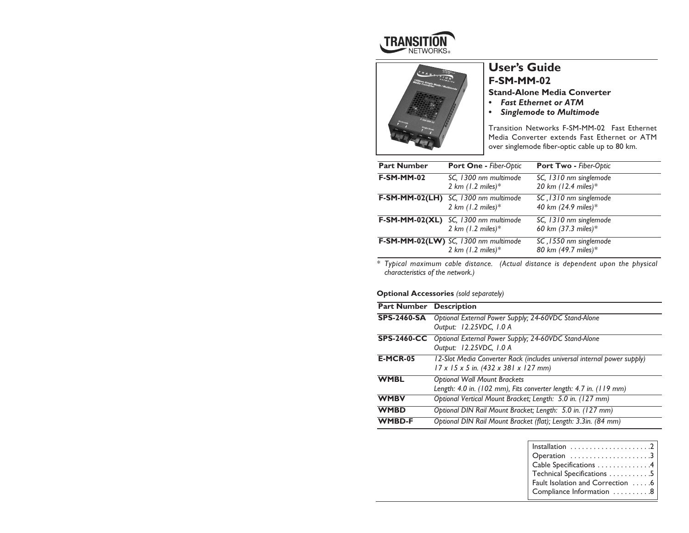



# **User's Guide F-SM-MM-02**

## **Stand-Alone Media Converter**

- *• Fast Ethernet or ATM*
- *• Singlemode to Multimode*

Transition Networks F-SM-MM-02 Fast Ethernet Media Converter extends Fast Ethernet or ATM over singlemode fiber-optic cable up to 80 km.

| <b>Part Number</b> | Port One - Fiber-Optic                                               | Port Two - Fiber-Optic                        |
|--------------------|----------------------------------------------------------------------|-----------------------------------------------|
| <b>F-SM-MM-02</b>  | SC, 1300 nm multimode<br>2 km $(1.2 \text{ miles})$ *                | SC, 1310 nm singlemode<br>20 km (12.4 miles)* |
| $F-SM-MM-02(LH)$   | SC, 1300 nm multimode<br>2 km $(1.2 \text{ miles})$ *                | SC, 1310 nm singlemode<br>40 km (24.9 miles)* |
|                    | F-SM-MM-02(XL) SC, 1300 nm multimode<br>2 km $(1.2 \text{ miles})$ * | SC, 1310 nm singlemode<br>60 km (37.3 miles)* |
|                    | F-SM-MM-02(LW) SC, 1300 nm multimode<br>2 km $(1.2 \text{ miles})$ * | SC, 1550 nm singlemode<br>80 km (49.7 miles)* |

*\* Typical maximum cable distance. (Actual distance is dependent upon the physical characteristics of the network.)*

### **Optional Accessories** *(sold separately)*

| <b>Part Number Description</b> |                                                                                                                              |  |
|--------------------------------|------------------------------------------------------------------------------------------------------------------------------|--|
| <b>SPS-2460-SA</b>             | Optional External Power Supply; 24-60VDC Stand-Alone<br>Output: 12.25VDC, 1.0 A                                              |  |
|                                | SPS-2460-CC Optional External Power Supply; 24-60VDC Stand-Alone<br>Output: 12.25VDC, 1.0 A                                  |  |
| <b>E-MCR-05</b>                | I 2-Slot Media Converter Rack (includes universal internal power supply)<br>$17 \times 15 \times 5$ in. (432 x 381 x 127 mm) |  |
| <b>WMBL</b>                    | <b>Optional Wall Mount Brackets</b><br>Length: 4.0 in. (102 mm), Fits converter length: 4.7 in. (119 mm)                     |  |
| <b>WMBV</b>                    | Optional Vertical Mount Bracket; Length: 5.0 in. (127 mm)                                                                    |  |
| <b>WMBD</b>                    | Optional DIN Rail Mount Bracket; Length: 5.0 in. (127 mm)                                                                    |  |
| <b>WMBD-F</b>                  | Optional DIN Rail Mount Bracket (flat); Length: 3.3in. (84 mm)                                                               |  |

| Operation 3                      |
|----------------------------------|
| Cable Specifications 4           |
| Technical Specifications 5       |
| Fault Isolation and Correction 6 |
| Compliance Information 8         |
|                                  |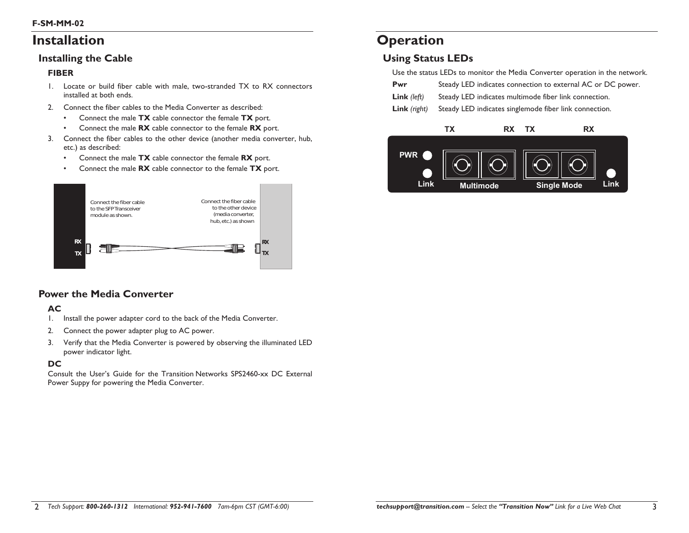# **Installation**

## **Installing the Cable**

### **FIBER**

- 1. Locate or build fiber cable with male, two-stranded TX to RX connectors installed at both ends.
- 2. Connect the fiber cables to the Media Converter as described:
	- •Connect the male **TX** cable connector the female **TX** port.
	- •Connect the male **RX** cable connector to the female **RX** port.
- 3. Connect the fiber cables to the other device (another media converter, hub, etc.) as described:
	- •Connect the male **TX** cable connector the female **RX** port.
	- •Connect the male **RX** cable connector to the female **TX** port.



## **Power the Media Converter**

## **AC**

- 1. Install the power adapter cord to the back of the Media Converter.
- 2. Connect the power adapter plug to AC power.
- 3. Verify that the Media Converter is powered by observing the illuminated LED power indicator light.

### **DC**

Consult the User's Guide for the Transition Networks SPS2460-xx DC External Power Suppy for powering the Media Converter.

# **Operation**

## **Using Status LEDs**

Use the status LEDs to monitor the Media Converter operation in the network.

| Pwr<br>Steady LED indicates connection to external AC or DC power. |  |
|--------------------------------------------------------------------|--|
|--------------------------------------------------------------------|--|

| <b>Link</b> ( $left$ )<br>Steady LED indicates multimode fiber link connection. |  |  |
|---------------------------------------------------------------------------------|--|--|
|---------------------------------------------------------------------------------|--|--|

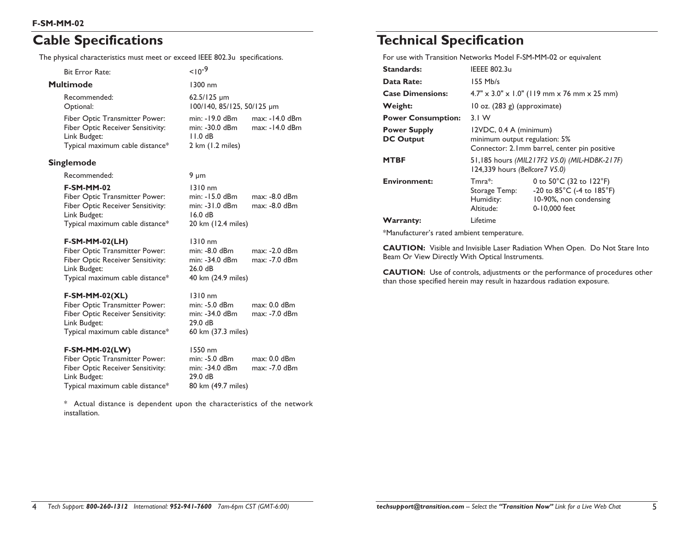# **Cable Specifications**

The physical characteristics must meet or exceed IEEE 802.3u specifications.

| <b>Bit Error Rate:</b>                                                                                                        | $10^{-9}$                                                      |                                  |
|-------------------------------------------------------------------------------------------------------------------------------|----------------------------------------------------------------|----------------------------------|
| Multimode                                                                                                                     | 1300 nm                                                        |                                  |
| Recommended:<br>Optional:                                                                                                     | $62.5/125 \mu m$<br>100/140, 85/125, 50/125 µm                 |                                  |
| Fiber Optic Transmitter Power:<br><b>Fiber Optic Receiver Sensitivity:</b><br>Link Budget:<br>Typical maximum cable distance* | min: -19.0 dBm<br>min: -30.0 dBm<br>11.0dB<br>2 km (1.2 miles) | max: -14.0 dBm<br>max: -14.0 dBm |
| Singlemode                                                                                                                    |                                                                |                                  |
| Recommended:                                                                                                                  | 9 $\mu$ m                                                      |                                  |
| <b>F-SM-MM-02</b><br>Fiber Optic Transmitter Power:                                                                           | 1310 nm<br>min: -15.0 dBm                                      | max: -8.0 dBm                    |

Fiber Optic Receiver Sensitivity: min: -31.0 dBm max: -8.0 dBm Link Budget: 16.0 dB Typical maximum cable distance\* 20 km (12.4 miles)

#### **F-SM-MM-02(LH)** 1310 nm Fiber Optic Transmitter Power: min: -8.0 dBm max: -2.0 dBm Fiber Optic Receiver Sensitivity: min: -34.0 dBm max: -7.0 dBm Link Budget: 26.0 dB Typical maximum cable distance\* 40 km (24.9 miles)

### **F-SM-MM-02(XL)** 1310 nm

Fiber Optic Transmitter Power: min: -5.0 dBm max: 0.0 dBm Fiber Optic Receiver Sensitivity: min: -34.0 dBm max: -7.0 dBm Link Budget: 29.0 dB Typical maximum cable distance\* 60 km (37.3 miles)

### **F-SM-MM-02(LW)** 1550 nm

| $min: -5.0$ dBm    | $max: 0.0$ dBm |
|--------------------|----------------|
| min: -34.0 dBm     | max: -7.0 dBm  |
| 29.0dB             |                |
| 80 km (49.7 miles) |                |
|                    |                |

\* Actual distance is dependent upon the characteristics of the network installation.

# **Technical Specification**

For use with Transition Networks Model F-SM-MM-02 or equivalent

| <b>Standards:</b>                       | <b>IEEEE 802.3u</b>                                                                                     |                                                                                                                      |
|-----------------------------------------|---------------------------------------------------------------------------------------------------------|----------------------------------------------------------------------------------------------------------------------|
| Data Rate:                              | 155 Mb/s                                                                                                |                                                                                                                      |
| <b>Case Dimensions:</b>                 |                                                                                                         | $4.7'' \times 3.0'' \times 1.0''$ (119 mm x 76 mm x 25 mm)                                                           |
| Weight:                                 | 10 oz. (283 g) (approximate)                                                                            |                                                                                                                      |
| <b>Power Consumption:</b>               | 3.1 W                                                                                                   |                                                                                                                      |
| <b>Power Supply</b><br><b>DC Output</b> | 12VDC, 0.4 A (minimum)<br>minimum output regulation: 5%<br>Connector: 2.1mm barrel, center pin positive |                                                                                                                      |
| <b>MTBF</b>                             | 51,185 hours (MIL217F2 V5.0) (MIL-HDBK-217F)<br>124,339 hours (Bellcore 7 V5.0)                         |                                                                                                                      |
| <b>Environment:</b>                     | $Tmra*$ :<br>Storage Temp:<br>Humidity:<br>Altitude:                                                    | 0 to $50^{\circ}$ C (32 to 122 $^{\circ}$ F)<br>-20 to 85°C (-4 to 185°F)<br>10-90%, non condensing<br>0-10,000 feet |
| <b>Warranty:</b>                        | Lifetime                                                                                                |                                                                                                                      |
|                                         |                                                                                                         |                                                                                                                      |

\*Manufacturer's rated ambient temperature.

**CAUTION:** Visible and Invisible Laser Radiation When Open. Do Not Stare Into Beam Or View Directly With Optical Instruments.

**CAUTION:** Use of controls, adjustments or the performance of procedures other than those specified herein may result in hazardous radiation exposure.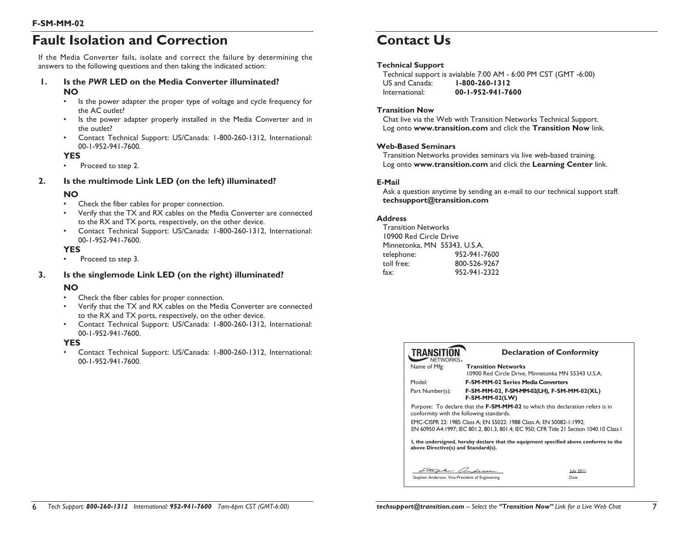# **Fault Isolation and Correction**

If the Media Converter fails, isolate and correct the failure by determining the answers to the following questions and then taking the indicated action:

- **1. Is the** *PWR* **LED on the Media Converter illuminated? NO**
	- • Is the power adapter the proper type of voltage and cycle frequency for the AC outlet?
	- • Is the power adapter properly installed in the Media Converter and in the outlet?
	- • Contact Technical Support: US/Canada: 1-800-260-1312, International: 00-1-952-941-7600.

#### **YES**

•

Proceed to step 2.

### **2. Is the multimode Link LED (on the left) illuminated?**

### **NO**

- •Check the fiber cables for proper connection.
- • Verify that the TX and RX cables on the Media Converter are connected to the RX and TX ports, respectively, on the other device.
- Contact Technical Support: US/Canada: 1-800-260-1312, International: 00-1-952-941-7600.

### **YES**

•Proceed to step 3.

### **3. Is the singlemode Link LED (on the right) illuminated?**

### **NO**

- •Check the fiber cables for proper connection.
- • Verify that the TX and RX cables on the Media Converter are connected to the RX and TX ports, respectively, on the other device.
- • Contact Technical Support: US/Canada: 1-800-260-1312, International: 00-1-952-941-7600.

### **YES**

• Contact Technical Support: US/Canada: 1-800-260-1312, International: 00-1-952-941-7600.

# **Contact Us**

### **Technical Support**

Technical support is avialable 7:00 AM - 6:00 PM CST (GMT -6:00) US and Canada: **1-800-260-1312** International: **00-1-952-941-7600**

#### **Transition Now**

Chat live via the Web with Transition Networks Technical Support. Log onto **www.transition.com** and click the **Transition Now** link.

#### **Web-Based Seminars**

Transition Networks provides seminars via live web-based training. Log onto **www.transition.com** and click the **Learning Center** link.

### **E-Mail**

Ask a question anytime by sending an e-mail to our technical support staff. **techsupport@transition.com**

#### **Address**

Transition Networks 10900 Red Circle Drive Minnetonka, MN 55343, U.S.A. telephone: 952-941-7600 toll free: 800-526-9267 fax: 952-941-2322

| <b>TRANSITION</b><br>NFTWORKS.                  |                                                                      | <b>Declaration of Conformity</b>                                                         |
|-------------------------------------------------|----------------------------------------------------------------------|------------------------------------------------------------------------------------------|
| Name of Mfg:                                    | <b>Transition Networks</b>                                           | 10900 Red Circle Drive, Minnetonka MN 55343 U.S.A.                                       |
| Model <sup>-</sup>                              | <b>F-SM-MM-02 Series Media Converters</b>                            |                                                                                          |
| Part Number(s):                                 | <b>F-SM-MM-02(LW)</b>                                                | F-SM-MM-02, F-SM-MM-02(LH), F-SM-MM-02(XL)                                               |
|                                                 | conformity with the following standards.                             | Purpose: To declare that the F-SM-MM-02 to which this declaration refers is in           |
|                                                 | EMC-CISPR 22: 1985 Class A; EN 55022: 1988 Class A; EN 50082-1:1992; | EN 60950 A4:1997: IEC 801.2, 801.3, 801.4; IEC 950: CFR Title 21 Section 1040.10 Class 1 |
| above Directive(s) and Standard(s).             |                                                                      | I, the undersigned, hereby declare that the equipment specified above conforms to the    |
|                                                 |                                                                      |                                                                                          |
|                                                 | hen anderson                                                         | July 2011                                                                                |
| Stephen Anderson, Vice-President of Engineering |                                                                      | Date                                                                                     |